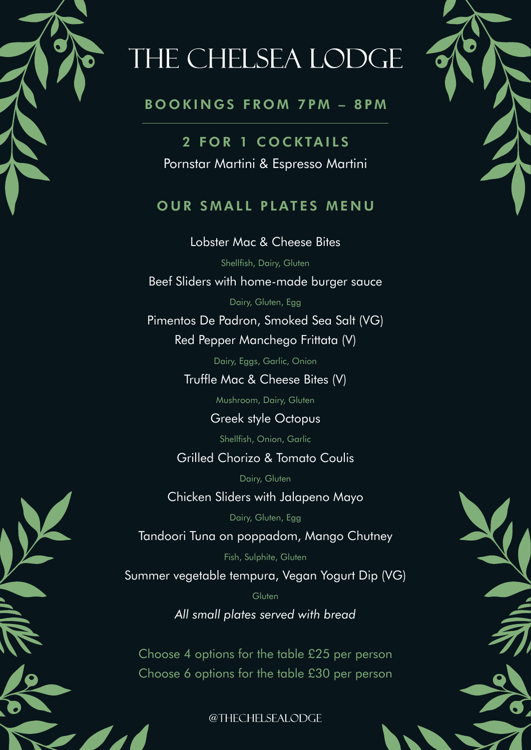

## THE CHELSEA LODGE

#### B O O K I N G S F R O M 7 P M – 8 P M

2 FOR 1 COCKTAILS Pornstar Martini & Espresso Martini

### OUR SMALL PLATES MENU

Lobster Mac & Cheese Bites Shellfish, Dairy, Gluten Beef Sliders with home-made burger sauce Dairy, Gluten, Egg

Pimentos De Padron, Smoked Sea Salt (VG) Red Pepper Manchego Frittata (V)

Dairy, Eggs, Garlic, Onion

Truffle Mac & Cheese Bites (V)

Mushroom, Dairy, Gluten

Greek style Octopus

Shellfish, Onion, Garlic

### Grilled Chorizo & Tomato Coulis

Dairy, Gluten

Chicken Sliders with Jalapeno Mayo

Dairy, Gluten, Egg

Tandoori Tuna on poppadom, Mango Chutney

Fish, Sulphite, Gluten Summer vegetable tempura, Vegan Yogurt Dip (VG)

Gluten

*All small plates served with bread*

Choose 4 options for the table £25 per person Choose 6 options for the table £30 per person

@THECHELSEALODGE